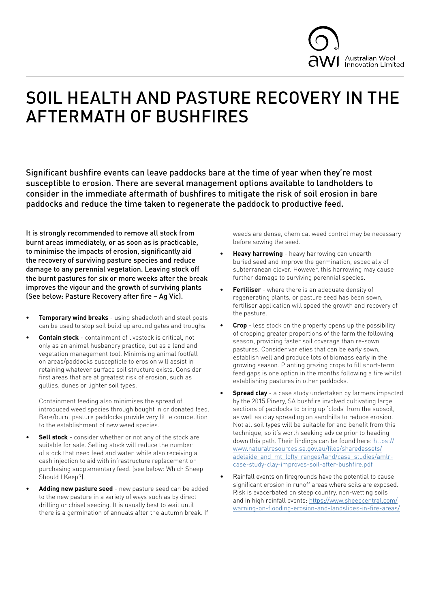

## SOIL HEALTH AND PASTURE RECOVERY IN THE AFTERMATH OF BUSHFIRES

Significant bushfire events can leave paddocks bare at the time of year when they're most susceptible to erosion. There are several management options available to landholders to consider in the immediate aftermath of bushfires to mitigate the risk of soil erosion in bare paddocks and reduce the time taken to regenerate the paddock to productive feed.

It is strongly recommended to remove all stock from burnt areas immediately, or as soon as is practicable, to minimise the impacts of erosion, significantly aid the recovery of surviving pasture species and reduce damage to any perennial vegetation. Leaving stock off the burnt pastures for six or more weeks after the break improves the vigour and the growth of surviving plants (See below: Pasture Recovery after fire – Ag Vic).

- **• Temporary wind breaks** using shadecloth and steel posts can be used to stop soil build up around gates and troughs.
- **• Contain stock** containment of livestock is critical, not only as an animal husbandry practice, but as a land and vegetation management tool. Minimising animal footfall on areas/paddocks susceptible to erosion will assist in retaining whatever surface soil structure exists. Consider first areas that are at greatest risk of erosion, such as gullies, dunes or lighter soil types.

Containment feeding also minimises the spread of introduced weed species through bought in or donated feed. Bare/burnt pasture paddocks provide very little competition to the establishment of new weed species.

- **• Sell stock** consider whether or not any of the stock are suitable for sale. Selling stock will reduce the number of stock that need feed and water, while also receiving a cash injection to aid with infrastructure replacement or purchasing supplementary feed. (see below: Which Sheep Should I Keep?).
- **• Adding new pasture seed** new pasture seed can be added to the new pasture in a variety of ways such as by direct drilling or chisel seeding. It is usually best to wait until there is a germination of annuals after the autumn break. If

weeds are dense, chemical weed control may be necessary before sowing the seed.

- **• Heavy harrowing** heavy harrowing can unearth buried seed and improve the germination, especially of subterranean clover. However, this harrowing may cause further damage to surviving perennial species.
- **• Fertiliser** where there is an adequate density of regenerating plants, or pasture seed has been sown, fertiliser application will speed the growth and recovery of the pasture.
- **• Crop** less stock on the property opens up the possibility of cropping greater proportions of the farm the following season, providing faster soil coverage than re-sown pastures. Consider varieties that can be early sown, establish well and produce lots of biomass early in the growing season. Planting grazing crops to fill short-term feed gaps is one option in the months following a fire whilst establishing pastures in other paddocks.
- **Spread clay** a case study undertaken by farmers impacted by the 2015 Pinery, SA bushfire involved cultivating large sections of paddocks to bring up 'clods' from the subsoil, as well as clay spreading on sandhills to reduce erosion. Not all soil types will be suitable for and benefit from this technique, so it's worth seeking advice prior to heading down this path. Their findings can be found here: [https://](https://www.naturalresources.sa.gov.au/files/sharedassets/adelaide_and_mt_lofty_ranges/land/case_studies/amlr-case-study-clay-improves-soil-after-bushfire.pdf  ) [www.naturalresources.sa.gov.au/files/sharedassets/](https://www.naturalresources.sa.gov.au/files/sharedassets/adelaide_and_mt_lofty_ranges/land/case_studies/amlr-case-study-clay-improves-soil-after-bushfire.pdf  ) [adelaide\\_and\\_mt\\_lofty\\_ranges/land/case\\_studies/amlr](https://www.naturalresources.sa.gov.au/files/sharedassets/adelaide_and_mt_lofty_ranges/land/case_studies/amlr-case-study-clay-improves-soil-after-bushfire.pdf  )[case-study-clay-improves-soil-after-bushfire.pdf](https://www.naturalresources.sa.gov.au/files/sharedassets/adelaide_and_mt_lofty_ranges/land/case_studies/amlr-case-study-clay-improves-soil-after-bushfire.pdf  )
- Rainfall events on firegrounds have the potential to cause significant erosion in runoff areas where soils are exposed. Risk is exacerbated on steep country, non-wetting soils and in high rainfall events: [https://www.sheepcentral.com/](https://www.sheepcentral.com/warning-on-flooding-erosion-and-landslides-in-fire-areas/ ) [warning-on-flooding-erosion-and-landslides-in-fire-areas/](https://www.sheepcentral.com/warning-on-flooding-erosion-and-landslides-in-fire-areas/ )